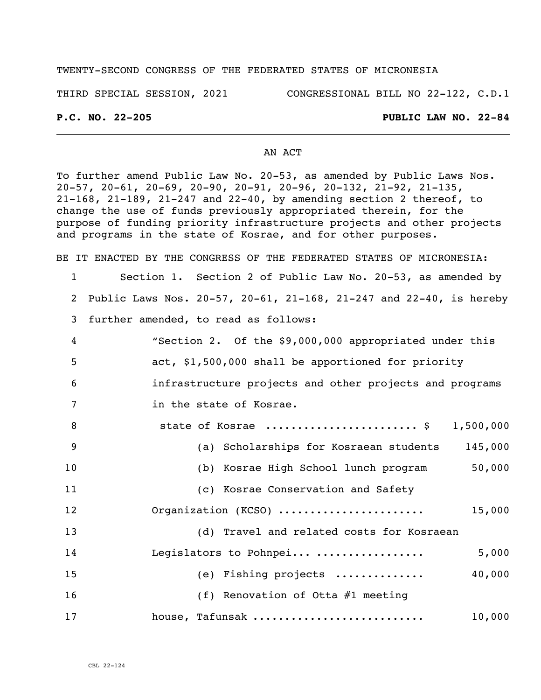### TWENTY-SECOND CONGRESS OF THE FEDERATED STATES OF MICRONESIA

THIRD SPECIAL SESSION, 2021 CONGRESSIONAL BILL NO 22-122, C.D.1

### **P.C. NO. 22-205 PUBLIC LAW NO. 22-84**

### AN ACT

To further amend Public Law No. 20-53, as amended by Public Laws Nos. 20-57, 20-61, 20-69, 20-90, 20-91, 20-96, 20-132, 21-92, 21-135, 21-168, 21-189, 21-247 and 22-40, by amending section 2 thereof, to change the use of funds previously appropriated therein, for the purpose of funding priority infrastructure projects and other projects and programs in the state of Kosrae, and for other purposes.

BE IT ENACTED BY THE CONGRESS OF THE FEDERATED STATES OF MICRONESIA:

# 1 Section 1. Section 2 of Public Law No. 20-53, as amended by 2 Public Laws Nos. 20-57, 20-61, 21-168, 21-247 and 22-40, is hereby 3 further amended, to read as follows: 4 "Section 2. Of the \$9,000,000 appropriated under this 5 act, \$1,500,000 shall be apportioned for priority 6 infrastructure projects and other projects and programs 7 in the state of Kosrae. 8 state of Kosrae ........................ \$ 1,500,000 9 (a) Scholarships for Kosraean students 145,000 10 (b) Kosrae High School lunch program 50,000 11 (c) Kosrae Conservation and Safety 12 Organization (KCSO) ....................... 15,000 13 (d) Travel and related costs for Kosraean 14 Legislators to Pohnpei... ................. 5,000 15 (e) Fishing projects .............. 40,000 16 (f) Renovation of Otta #1 meeting

17 house, Tafunsak ........................... 10,000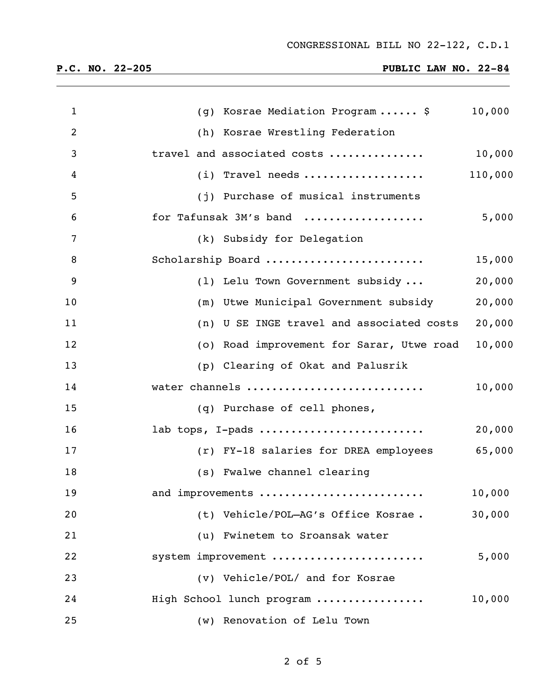| $\mathbf{1}$   | (g) Kosrae Mediation Program \$           | 10,000  |
|----------------|-------------------------------------------|---------|
| $\overline{2}$ | (h) Kosrae Wrestling Federation           |         |
| 3              | travel and associated costs               | 10,000  |
| 4              | $(i)$ Travel needs                        | 110,000 |
| 5              | (j) Purchase of musical instruments       |         |
| 6              | for Tafunsak 3M's band                    | 5,000   |
| 7              | (k) Subsidy for Delegation                |         |
| 8              | Scholarship Board                         | 15,000  |
| 9              | (1) Lelu Town Government subsidy          | 20,000  |
| 10             | (m) Utwe Municipal Government subsidy     | 20,000  |
| 11             | (n) U SE INGE travel and associated costs | 20,000  |
| 12             | (o) Road improvement for Sarar, Utwe road | 10,000  |
| 13             | (p) Clearing of Okat and Palusrik         |         |
| 14             | water channels                            | 10,000  |
| 15             | (q) Purchase of cell phones,              |         |
| 16             | lab tops, I-pads                          | 20,000  |
| 17             | (r) FY-18 salaries for DREA employees     | 65,000  |
| 18             | (s) Fwalwe channel clearing               |         |
| 19             | and improvements                          | 10,000  |
| 20             | (t) Vehicle/POL-AG's Office Kosrae.       | 30,000  |
| 21             | (u) Fwinetem to Sroansak water            |         |
| 22             | system improvement                        | 5,000   |
| 23             | (v) Vehicle/POL/ and for Kosrae           |         |
| 24             | High School lunch program                 | 10,000  |
| 25             | (w) Renovation of Lelu Town               |         |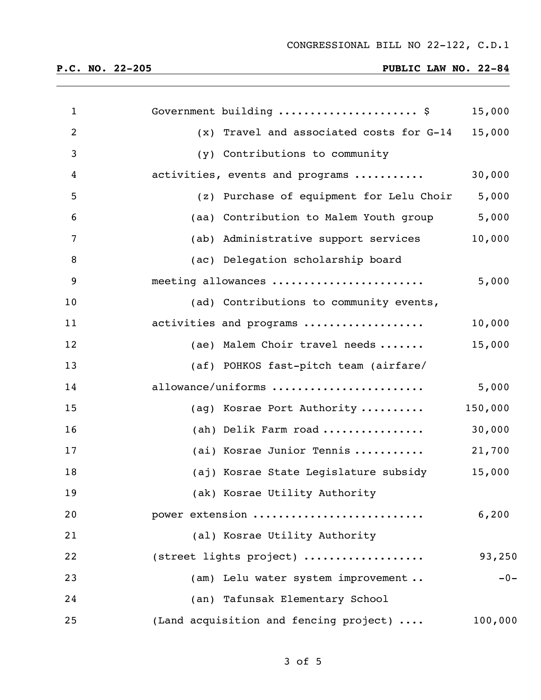| $\mathbf{1}$   | Government building  \$                  | 15,000  |
|----------------|------------------------------------------|---------|
| $\overline{2}$ | (x) Travel and associated costs for G-14 | 15,000  |
| 3              | (y) Contributions to community           |         |
| 4              | activities, events and programs          | 30,000  |
| 5              | (z) Purchase of equipment for Lelu Choir | 5,000   |
| 6              | (aa) Contribution to Malem Youth group   | 5,000   |
| $\overline{7}$ | (ab) Administrative support services     | 10,000  |
| 8              | (ac) Delegation scholarship board        |         |
| 9              | meeting allowances                       | 5,000   |
| 10             | (ad) Contributions to community events,  |         |
| 11             | activities and programs                  | 10,000  |
| 12             | (ae) Malem Choir travel needs            | 15,000  |
| 13             | (af) POHKOS fast-pitch team (airfare/    |         |
| 14             | allowance/uniforms                       | 5,000   |
| 15             | (ag) Kosrae Port Authority               | 150,000 |
| 16             | (ah) Delik Farm road                     | 30,000  |
| 17             | (ai) Kosrae Junior Tennis                | 21,700  |
| 18             | (aj) Kosrae State Legislature subsidy    | 15,000  |
| 19             | (ak) Kosrae Utility Authority            |         |
| 20             | power extension                          | 6,200   |
| 21             | (al) Kosrae Utility Authority            |         |
| 22             | (street lights project)                  | 93,250  |
| 23             | (am) Lelu water system improvement       | $-0-$   |
| 24             | (an) Tafunsak Elementary School          |         |
| 25             | (Land acquisition and fencing project)   | 100,000 |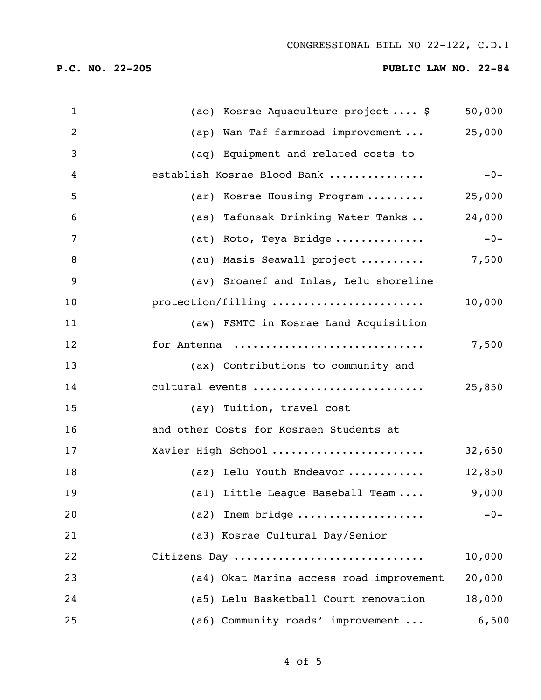| $\mathbf{1}$   | (ao) Kosrae Aquaculture project \$       | 50,000 |
|----------------|------------------------------------------|--------|
| $\overline{2}$ | (ap) Wan Taf farmroad improvement        | 25,000 |
| 3              | (aq) Equipment and related costs to      |        |
| 4              | establish Kosrae Blood Bank              | $-0-$  |
| 5              | (ar) Kosrae Housing Program              | 25,000 |
| 6              | (as) Tafunsak Drinking Water Tanks       | 24,000 |
| 7              | (at) Roto, Teya Bridge                   | $-0-$  |
| 8              | (au) Masis Seawall project               | 7,500  |
| 9              | (av) Sroanef and Inlas, Lelu shoreline   |        |
| 10             | protection/filling                       | 10,000 |
| 11             | (aw) FSMTC in Kosrae Land Acquisition    |        |
| 12             | for Antenna                              | 7,500  |
| 13             | (ax) Contributions to community and      |        |
| 14             | cultural events                          | 25,850 |
| 15             | (ay) Tuition, travel cost                |        |
| 16             | and other Costs for Kosraen Students at  |        |
| 17             | Xavier High School                       | 32,650 |
| 18             | (az) Lelu Youth Endeavor                 | 12,850 |
| 19             | (al) Little League Baseball Team         | 9,000  |
| 20             | Inem bridge<br>(a2)                      | $-0-$  |
| 21             | (a3) Kosrae Cultural Day/Senior          |        |
| 22             | Citizens Day                             | 10,000 |
| 23             | (a4) Okat Marina access road improvement | 20,000 |
| 24             | (a5) Lelu Basketball Court renovation    | 18,000 |
| 25             | (a6) Community roads' improvement        | 6,500  |